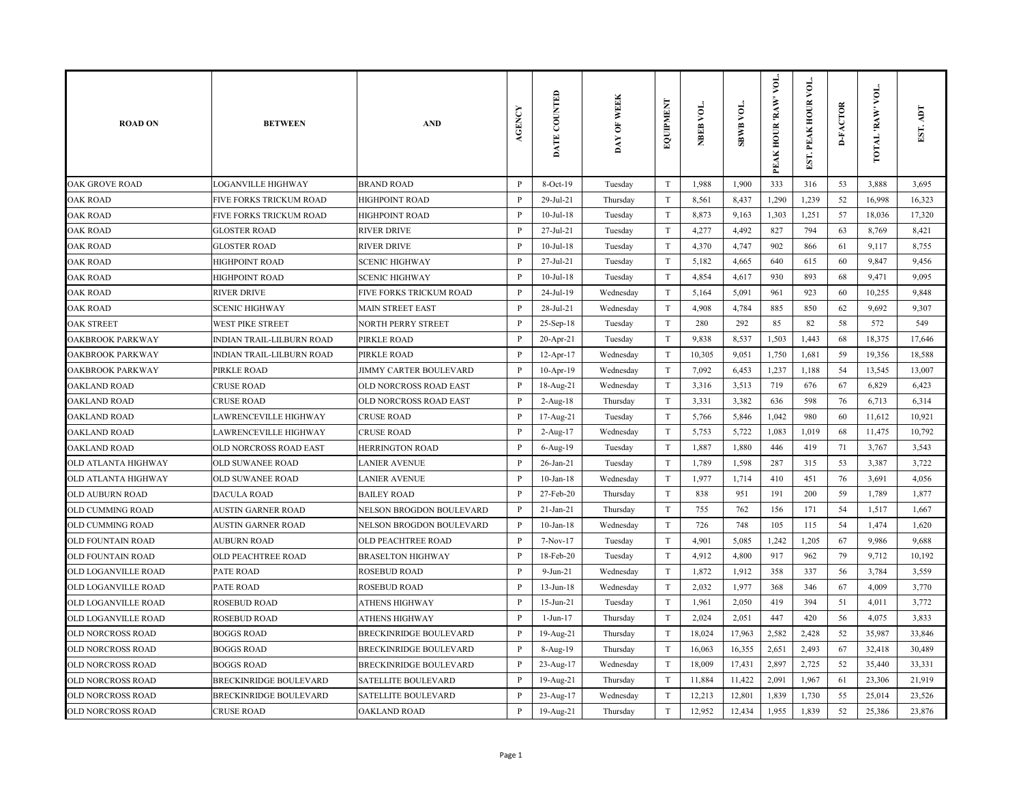| <b>ROAD ON</b>             | <b>BETWEEN</b>                | <b>AND</b>                    | <b>AGENCY</b> | DATE COUNTED    | DAY OF WEEK | <b>EXEMENT</b>            | NBEB VOL. | SBWB VOL. | vоL.<br>PEAK HOUR 'RAW' | EST. PEAK HOUR VOI | <b>D-FACTOR</b> | TOTAL 'RAW' VOL. | Idy<br>EST. |
|----------------------------|-------------------------------|-------------------------------|---------------|-----------------|-------------|---------------------------|-----------|-----------|-------------------------|--------------------|-----------------|------------------|-------------|
| <b>OAK GROVE ROAD</b>      | <b>LOGANVILLE HIGHWAY</b>     | <b>BRAND ROAD</b>             | P             | 8-Oct-19        | Tuesday     | $\mathbf T$               | 1,988     | 1,900     | 333                     | 316                | 53              | 3,888            | 3,695       |
| <b>OAK ROAD</b>            | FIVE FORKS TRICKUM ROAD       | <b>HIGHPOINT ROAD</b>         | P             | 29-Jul-21       | Thursday    | $\mathbf T$               | 8,561     | 8,437     | 1,290                   | 1,239              | 52              | 16,998           | 16,323      |
| <b>OAK ROAD</b>            | FIVE FORKS TRICKUM ROAD       | <b>HIGHPOINT ROAD</b>         | $\mathbf{P}$  | $10$ -Jul- $18$ | Tuesday     | $\ensuremath{\mathrm{T}}$ | 8,873     | 9,163     | 1,303                   | 1,251              | 57              | 18,036           | 17,320      |
| <b>OAK ROAD</b>            | <b>GLOSTER ROAD</b>           | <b>RIVER DRIVE</b>            | P             | 27-Jul-21       | Tuesday     | $\mathbf T$               | 4,277     | 4,492     | 827                     | 794                | 63              | 8,769            | 8,421       |
| <b>OAK ROAD</b>            | <b>GLOSTER ROAD</b>           | <b>RIVER DRIVE</b>            | $\mathbf{P}$  | $10$ -Jul- $18$ | Tuesday     | $\mathbf T$               | 4,370     | 4,747     | 902                     | 866                | 61              | 9,117            | 8,755       |
| <b>OAK ROAD</b>            | <b>HIGHPOINT ROAD</b>         | <b>SCENIC HIGHWAY</b>         | P             | 27-Jul-21       | Tuesday     | $\mathbf T$               | 5,182     | 4,665     | 640                     | 615                | 60              | 9,847            | 9,456       |
| <b>OAK ROAD</b>            | <b>HIGHPOINT ROAD</b>         | <b>SCENIC HIGHWAY</b>         | $\mathbf{P}$  | $10$ -Jul- $18$ | Tuesday     | $\mathbf T$               | 4,854     | 4,617     | 930                     | 893                | 68              | 9,471            | 9,095       |
| <b>OAK ROAD</b>            | <b>RIVER DRIVE</b>            | FIVE FORKS TRICKUM ROAD       | P             | 24-Jul-19       | Wednesday   | $\mathbf T$               | 5,164     | 5,091     | 961                     | 923                | 60              | 10,255           | 9,848       |
| <b>OAK ROAD</b>            | <b>SCENIC HIGHWAY</b>         | <b>MAIN STREET EAST</b>       | $\mathbf{P}$  | 28-Jul-21       | Wednesday   | $\mathbf T$               | 4,908     | 4,784     | 885                     | 850                | 62              | 9,692            | 9,307       |
| <b>OAK STREET</b>          | WEST PIKE STREET              | <b>NORTH PERRY STREET</b>     | P             | 25-Sep-18       | Tuesday     | $\mathbf T$               | 280       | 292       | 85                      | 82                 | 58              | 572              | 549         |
| OAKBROOK PARKWAY           | INDIAN TRAIL-LILBURN ROAD     | PIRKLE ROAD                   | P             | 20-Apr-21       | Tuesday     | $\mathbf T$               | 9,838     | 8,537     | 1,503                   | 1,443              | 68              | 18,375           | 17,646      |
| OAKBROOK PARKWAY           | INDIAN TRAIL-LILBURN ROAD     | PIRKLE ROAD                   | P             | 12-Apr-17       | Wednesday   | $\ensuremath{\mathrm{T}}$ | 10,305    | 9,051     | 1,750                   | 1,681              | 59              | 19,356           | 18,588      |
| OAKBROOK PARKWAY           | PIRKLE ROAD                   | JIMMY CARTER BOULEVARD        | P             | $10-Apr-19$     | Wednesday   | $\mathbf T$               | 7,092     | 6,453     | 1,237                   | 1,188              | 54              | 13,545           | 13,007      |
| <b>OAKLAND ROAD</b>        | <b>CRUSE ROAD</b>             | <b>OLD NORCROSS ROAD EAST</b> | $\mathbf{P}$  | 18-Aug-21       | Wednesday   | $\mathbf T$               | 3,316     | 3,513     | 719                     | 676                | 67              | 6,829            | 6,423       |
| <b>OAKLAND ROAD</b>        | <b>CRUSE ROAD</b>             | OLD NORCROSS ROAD EAST        | P             | $2-Aug-18$      | Thursday    | $\mathbf T$               | 3,331     | 3,382     | 636                     | 598                | 76              | 6,713            | 6,314       |
| <b>OAKLAND ROAD</b>        | LAWRENCEVILLE HIGHWAY         | <b>CRUSE ROAD</b>             | $\mathbf{P}$  | 17-Aug-21       | Tuesday     | $\mathbf T$               | 5,766     | 5,846     | 1,042                   | 980                | 60              | 11,612           | 10,921      |
| <b>OAKLAND ROAD</b>        | LAWRENCEVILLE HIGHWAY         | <b>CRUSE ROAD</b>             | P             | 2-Aug-17        | Wednesday   | $\mathbf T$               | 5,753     | 5,722     | 1,083                   | 1,019              | 68              | 11,475           | 10,792      |
| <b>OAKLAND ROAD</b>        | OLD NORCROSS ROAD EAST        | <b>HERRINGTON ROAD</b>        | $\mathbf{P}$  | 6-Aug-19        | Tuesday     | $\mathbf T$               | 1,887     | 1,880     | 446                     | 419                | 71              | 3,767            | 3,543       |
| OLD ATLANTA HIGHWAY        | OLD SUWANEE ROAD              | <b>LANIER AVENUE</b>          | $\mathbf{P}$  | $26$ -Jan- $21$ | Tuesday     | $\mathbf T$               | 1,789     | 1,598     | 287                     | 315                | 53              | 3,387            | 3,722       |
| <b>OLD ATLANTA HIGHWAY</b> | OLD SUWANEE ROAD              | <b>LANIER AVENUE</b>          | P             | $10$ -Jan- $18$ | Wednesday   | $\mathbf T$               | 1,977     | 1,714     | 410                     | 451                | 76              | 3,691            | 4,056       |
| OLD AUBURN ROAD            | <b>DACULA ROAD</b>            | <b>BAILEY ROAD</b>            | P             | 27-Feb-20       | Thursday    | $\ensuremath{\mathrm{T}}$ | 838       | 951       | 191                     | 200                | 59              | 1,789            | 1,877       |
| OLD CUMMING ROAD           | <b>AUSTIN GARNER ROAD</b>     | NELSON BROGDON BOULEVARD      | P             | $21-Jan-21$     | Thursday    | $\mathbf T$               | 755       | 762       | 156                     | 171                | 54              | 1,517            | 1,667       |
| OLD CUMMING ROAD           | AUSTIN GARNER ROAD            | NELSON BROGDON BOULEVARD      | $\mathbf{P}$  | $10$ -Jan- $18$ | Wednesday   | $\mathbf T$               | 726       | 748       | 105                     | 115                | 54              | 1,474            | 1,620       |
| <b>OLD FOUNTAIN ROAD</b>   | AUBURN ROAD                   | <b>OLD PEACHTREE ROAD</b>     | P             | 7-Nov-17        | Tuesday     | $\mathbf T$               | 4,901     | 5,085     | 1,242                   | 1,205              | 67              | 9,986            | 9,688       |
| OLD FOUNTAIN ROAD          | OLD PEACHTREE ROAD            | <b>BRASELTON HIGHWAY</b>      | $\mathbf{P}$  | 18-Feb-20       | Tuesday     | $\mathbf T$               | 4,912     | 4,800     | 917                     | 962                | 79              | 9,712            | 10,192      |
| OLD LOGANVILLE ROAD        | PATE ROAD                     | <b>ROSEBUD ROAD</b>           | P             | $9-Jun-21$      | Wednesday   | $\mathbf T$               | 1,872     | 1,912     | 358                     | 337                | 56              | 3,784            | 3,559       |
| OLD LOGANVILLE ROAD        | PATE ROAD                     | <b>ROSEBUD ROAD</b>           | $\mathbf{P}$  | $13$ -Jun- $18$ | Wednesday   | $\mathbf T$               | 2,032     | 1,977     | 368                     | 346                | 67              | 4,009            | 3,770       |
| OLD LOGANVILLE ROAD        | <b>ROSEBUD ROAD</b>           | <b>ATHENS HIGHWAY</b>         | $\mathbf{P}$  | $15-Jun-21$     | Tuesday     | $\mathbf T$               | 1,961     | 2,050     | 419                     | 394                | 51              | 4,011            | 3,772       |
| OLD LOGANVILLE ROAD        | <b>ROSEBUD ROAD</b>           | <b>ATHENS HIGHWAY</b>         | $\mathbf{P}$  | $1-Jun-17$      | Thursday    | $\mathbf T$               | 2,024     | 2,051     | 447                     | 420                | 56              | 4,075            | 3,833       |
| OLD NORCROSS ROAD          | <b>BOGGS ROAD</b>             | <b>BRECKINRIDGE BOULEVARD</b> | $\mathbf{P}$  | 19-Aug-21       | Thursday    | $\mathbf T$               | 18,024    | 17,963    | 2,582                   | 2,428              | 52              | 35,987           | 33,846      |
| OLD NORCROSS ROAD          | <b>BOGGS ROAD</b>             | <b>BRECKINRIDGE BOULEVARD</b> | P             | 8-Aug-19        | Thursday    | $\mathbf T$               | 16,063    | 16,355    | 2,651                   | 2,493              | 67              | 32,418           | 30,489      |
| OLD NORCROSS ROAD          | <b>BOGGS ROAD</b>             | <b>BRECKINRIDGE BOULEVARD</b> | $\mathbf{P}$  | 23-Aug-17       | Wednesday   | $\mathbf T$               | 18,009    | 17,431    | 2,897                   | 2,725              | 52              | 35,440           | 33,331      |
| <b>OLD NORCROSS ROAD</b>   | <b>BRECKINRIDGE BOULEVARD</b> | <b>SATELLITE BOULEVARD</b>    | P             | 19-Aug-21       | Thursday    | $\rm T$                   | 11,884    | 11,422    | 2,091                   | 1,967              | 61              | 23,306           | 21,919      |
| OLD NORCROSS ROAD          | <b>BRECKINRIDGE BOULEVARD</b> | <b>SATELLITE BOULEVARD</b>    | P             | 23-Aug-17       | Wednesday   | $\rm T$                   | 12,213    | 12,801    | 1,839                   | 1,730              | 55              | 25,014           | 23,526      |
| OLD NORCROSS ROAD          | <b>CRUSE ROAD</b>             | <b>OAKLAND ROAD</b>           | P             | 19-Aug-21       | Thursday    | $\mathcal T$              | 12,952    | 12,434    | 1,955                   | 1,839              | 52              | 25,386           | 23,876      |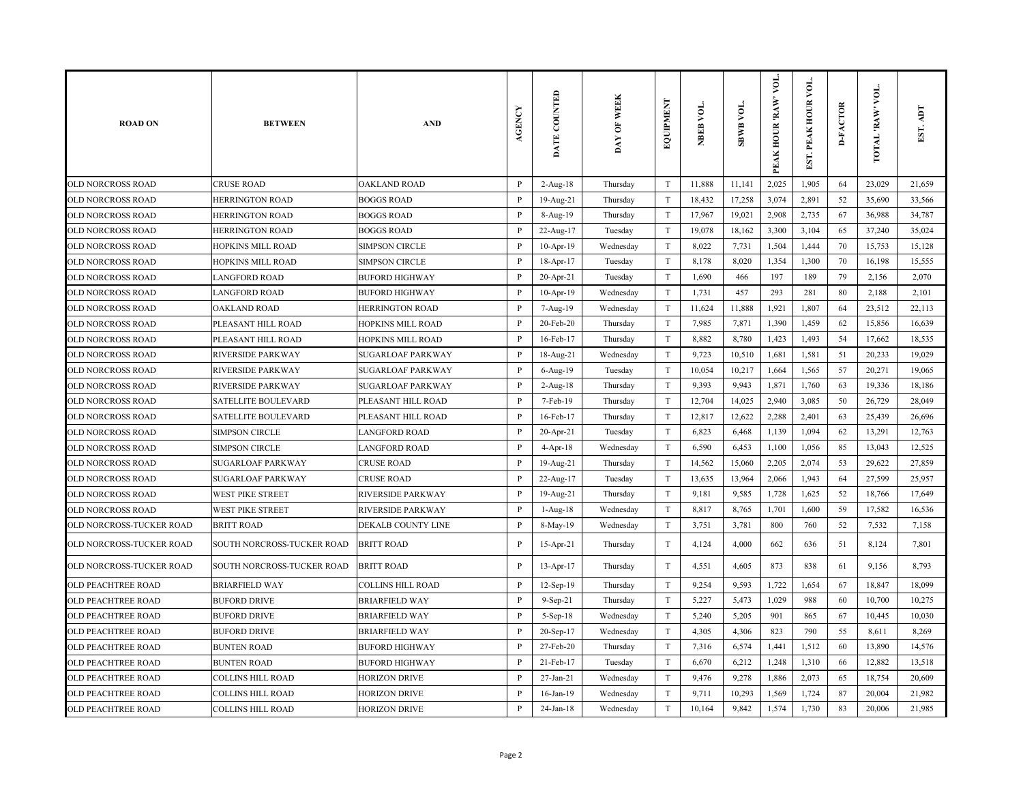| <b>ROAD ON</b>            | <b>BETWEEN</b>             | <b>AND</b>               | <b>AGENCY</b> | DATE COUNTED | DAY OF WEEK | EQUIPMENT                 | NBEB VOL. | SBWB VOL. | VOL.<br>PEAK HOUR 'RAW' | EST. PEAK HOUR VOI | <b>D-FACTOR</b> | TOTAL 'RAW' VOL. | EST. ADT |
|---------------------------|----------------------------|--------------------------|---------------|--------------|-------------|---------------------------|-----------|-----------|-------------------------|--------------------|-----------------|------------------|----------|
| OLD NORCROSS ROAD         | <b>CRUSE ROAD</b>          | <b>OAKLAND ROAD</b>      | $\, {\bf P}$  | $2-Aug-18$   | Thursday    | $\ensuremath{\mathrm{T}}$ | 11,888    | 11,141    | 2,025                   | 1,905              | 64              | 23,029           | 21,659   |
| OLD NORCROSS ROAD         | HERRINGTON ROAD            | <b>BOGGS ROAD</b>        | $\mathbf{P}$  | 19-Aug-21    | Thursday    | $\mathbf T$               | 18,432    | 17,258    | 3,074                   | 2,891              | 52              | 35,690           | 33,566   |
| OLD NORCROSS ROAD         | <b>HERRINGTON ROAD</b>     | <b>BOGGS ROAD</b>        | $\mathbf{P}$  | 8-Aug-19     | Thursday    | T                         | 17,967    | 19,021    | 2,908                   | 2,735              | 67              | 36,988           | 34,787   |
| OLD NORCROSS ROAD         | <b>HERRINGTON ROAD</b>     | <b>BOGGS ROAD</b>        | $\mathbf{P}$  | 22-Aug-17    | Tuesday     | $\rm T$                   | 19,078    | 18,162    | 3,300                   | 3,104              | 65              | 37,240           | 35,024   |
| <b>OLD NORCROSS ROAD</b>  | <b>HOPKINS MILL ROAD</b>   | <b>SIMPSON CIRCLE</b>    | P             | 10-Apr-19    | Wednesday   | T                         | 8,022     | 7,731     | 1,504                   | 1,444              | 70              | 15,753           | 15,128   |
| OLD NORCROSS ROAD         | HOPKINS MILL ROAD          | <b>SIMPSON CIRCLE</b>    | P             | 18-Apr-17    | Tuesday     | T                         | 8,178     | 8,020     | 1,354                   | 1,300              | 70              | 16,198           | 15,555   |
| OLD NORCROSS ROAD         | LANGFORD ROAD              | <b>BUFORD HIGHWAY</b>    | P             | 20-Apr-21    | Tuesday     | T                         | 1,690     | 466       | 197                     | 189                | 79              | 2,156            | 2,070    |
| OLD NORCROSS ROAD         | <b>LANGFORD ROAD</b>       | <b>BUFORD HIGHWAY</b>    | $\mathbf{P}$  | 10-Apr-19    | Wednesday   | T                         | 1,731     | 457       | 293                     | 281                | 80              | 2,188            | 2,101    |
| OLD NORCROSS ROAD         | <b>OAKLAND ROAD</b>        | HERRINGTON ROAD          | P             | 7-Aug-19     | Wednesday   | T                         | 11,624    | 11,888    | 1,921                   | 1,807              | 64              | 23,512           | 22,113   |
| OLD NORCROSS ROAD         | PLEASANT HILL ROAD         | <b>HOPKINS MILL ROAD</b> | $\mathbf{P}$  | 20-Feb-20    | Thursday    | $\ensuremath{\mathrm{T}}$ | 7,985     | 7,871     | 1,390                   | 1,459              | 62              | 15,856           | 16,639   |
| <b>OLD NORCROSS ROAD</b>  | PLEASANT HILL ROAD         | HOPKINS MILL ROAD        | $\mathbf{P}$  | 16-Feb-17    | Thursday    | $\mathbf T$               | 8,882     | 8,780     | 1,423                   | 1,493              | 54              | 17,662           | 18,535   |
| OLD NORCROSS ROAD         | RIVERSIDE PARKWAY          | <b>SUGARLOAF PARKWAY</b> | P             | 18-Aug-21    | Wednesday   | $\ensuremath{\mathrm{T}}$ | 9,723     | 10,510    | 1,681                   | 1,581              | 51              | 20,233           | 19,029   |
| OLD NORCROSS ROAD         | RIVERSIDE PARKWAY          | <b>SUGARLOAF PARKWAY</b> | P             | 6-Aug-19     | Tuesday     | $\mathbf T$               | 10,054    | 10,217    | 1,664                   | 1,565              | 57              | 20,271           | 19,065   |
| OLD NORCROSS ROAD         | <b>RIVERSIDE PARKWAY</b>   | <b>SUGARLOAF PARKWAY</b> | $\mathbf{P}$  | 2-Aug-18     | Thursday    | T                         | 9,393     | 9,943     | 1,871                   | 1,760              | 63              | 19,336           | 18,186   |
| OLD NORCROSS ROAD         | SATELLITE BOULEVARD        | PLEASANT HILL ROAD       | $\, {\bf P}$  | 7-Feb-19     | Thursday    | $\rm T$                   | 12,704    | 14,025    | 2,940                   | 3,085              | 50              | 26,729           | 28,049   |
| OLD NORCROSS ROAD         | <b>SATELLITE BOULEVARD</b> | PLEASANT HILL ROAD       | P             | 16-Feb-17    | Thursday    | T                         | 12,817    | 12,622    | 2,288                   | 2,401              | 63              | 25,439           | 26,696   |
| OLD NORCROSS ROAD         | <b>SIMPSON CIRCLE</b>      | <b>LANGFORD ROAD</b>     | $\, {\bf P}$  | 20-Apr-21    | Tuesday     | $\rm T$                   | 6,823     | 6,468     | 1,139                   | 1,094              | 62              | 13,291           | 12,763   |
| <b>OLD NORCROSS ROAD</b>  | <b>SIMPSON CIRCLE</b>      | <b>LANGFORD ROAD</b>     | P             | $4$ -Apr-18  | Wednesday   | $\rm T$                   | 6,590     | 6,453     | 1,100                   | 1,056              | 85              | 13,043           | 12,525   |
| OLD NORCROSS ROAD         | SUGARLOAF PARKWAY          | <b>CRUSE ROAD</b>        | $\, {\bf P}$  | 19-Aug-21    | Thursday    | $\rm T$                   | 14,562    | 15,060    | 2,205                   | 2,074              | 53              | 29,622           | 27,859   |
| OLD NORCROSS ROAD         | <b>SUGARLOAF PARKWAY</b>   | <b>CRUSE ROAD</b>        | $\mathbf{P}$  | 22-Aug-17    | Tuesday     | $\mathbf T$               | 13,635    | 13,964    | 2,066                   | 1,943              | 64              | 27,599           | 25,957   |
| <b>OLD NORCROSS ROAD</b>  | WEST PIKE STREET           | <b>RIVERSIDE PARKWAY</b> | $\mathbf{P}$  | 19-Aug-21    | Thursday    | T                         | 9,181     | 9,585     | 1,728                   | 1,625              | 52              | 18,766           | 17,649   |
| OLD NORCROSS ROAD         | <b>WEST PIKE STREET</b>    | <b>RIVERSIDE PARKWAY</b> | $\mathbf{P}$  | $1-Aug-18$   | Wednesday   | $\mathbf T$               | 8,817     | 8,765     | 1,701                   | 1,600              | 59              | 17,582           | 16,536   |
| OLD NORCROSS-TUCKER ROAD  | <b>BRITT ROAD</b>          | DEKALB COUNTY LINE       | P             | 8-May-19     | Wednesday   | T                         | 3,751     | 3,781     | 800                     | 760                | 52              | 7,532            | 7,158    |
| OLD NORCROSS-TUCKER ROAD  | SOUTH NORCROSS-TUCKER ROAD | <b>BRITT ROAD</b>        | P             | 15-Apr-21    | Thursday    | $\mathbf T$               | 4,124     | 4,000     | 662                     | 636                | 51              | 8,124            | 7,801    |
| OLD NORCROSS-TUCKER ROAD  | SOUTH NORCROSS-TUCKER ROAD | <b>BRITT ROAD</b>        | P             | 13-Apr-17    | Thursday    | $\mathbf T$               | 4,551     | 4,605     | 873                     | 838                | 61              | 9,156            | 8,793    |
| OLD PEACHTREE ROAD        | <b>BRIARFIELD WAY</b>      | <b>COLLINS HILL ROAD</b> | $\, {\bf P}$  | 12-Sep-19    | Thursday    | $\mathbf T$               | 9,254     | 9,593     | 1,722                   | 1,654              | 67              | 18,847           | 18,099   |
| <b>OLD PEACHTREE ROAD</b> | <b>BUFORD DRIVE</b>        | <b>BRIARFIELD WAY</b>    | $\mathbf{P}$  | $9-Sep-21$   | Thursday    | $\rm T$                   | 5,227     | 5,473     | 1,029                   | 988                | 60              | 10,700           | 10,275   |
| <b>OLD PEACHTREE ROAD</b> | <b>BUFORD DRIVE</b>        | <b>BRIARFIELD WAY</b>    | $\mathbf{P}$  | $5-Sep-18$   | Wednesday   | $\rm T$                   | 5,240     | 5,205     | 901                     | 865                | 67              | 10,445           | 10,030   |
| <b>OLD PEACHTREE ROAD</b> | <b>BUFORD DRIVE</b>        | <b>BRIARFIELD WAY</b>    | P             | 20-Sep-17    | Wednesday   | $\mathbf T$               | 4,305     | 4,306     | 823                     | 790                | 55              | 8,611            | 8,269    |
| OLD PEACHTREE ROAD        | <b>BUNTEN ROAD</b>         | <b>BUFORD HIGHWAY</b>    | P             | 27-Feb-20    | Thursday    | $\rm T$                   | 7,316     | 6,574     | 1,441                   | 1,512              | 60              | 13,890           | 14,576   |
| <b>OLD PEACHTREE ROAD</b> | <b>BUNTEN ROAD</b>         | <b>BUFORD HIGHWAY</b>    | $\, {\bf P}$  | 21-Feb-17    | Tuesday     | $\mathbf T$               | 6,670     | 6,212     | 1,248                   | 1,310              | 66              | 12,882           | 13,518   |
| OLD PEACHTREE ROAD        | COLLINS HILL ROAD          | <b>HORIZON DRIVE</b>     | P             | 27-Jan-21    | Wednesday   | T                         | 9,476     | 9,278     | 1,886                   | 2,073              | 65              | 18,754           | 20,609   |
| <b>OLD PEACHTREE ROAD</b> | COLLINS HILL ROAD          | <b>HORIZON DRIVE</b>     | P             | 16-Jan-19    | Wednesday   | $\mathbf T$               | 9,711     | 10,293    | 1,569                   | 1,724              | 87              | 20,004           | 21,982   |
| <b>OLD PEACHTREE ROAD</b> | COLLINS HILL ROAD          | <b>HORIZON DRIVE</b>     | $\mathbf{P}$  | $24$ -Jan-18 | Wednesday   | T                         | 10,164    | 9,842     | 1,574                   | 1,730              | 83              | 20,006           | 21,985   |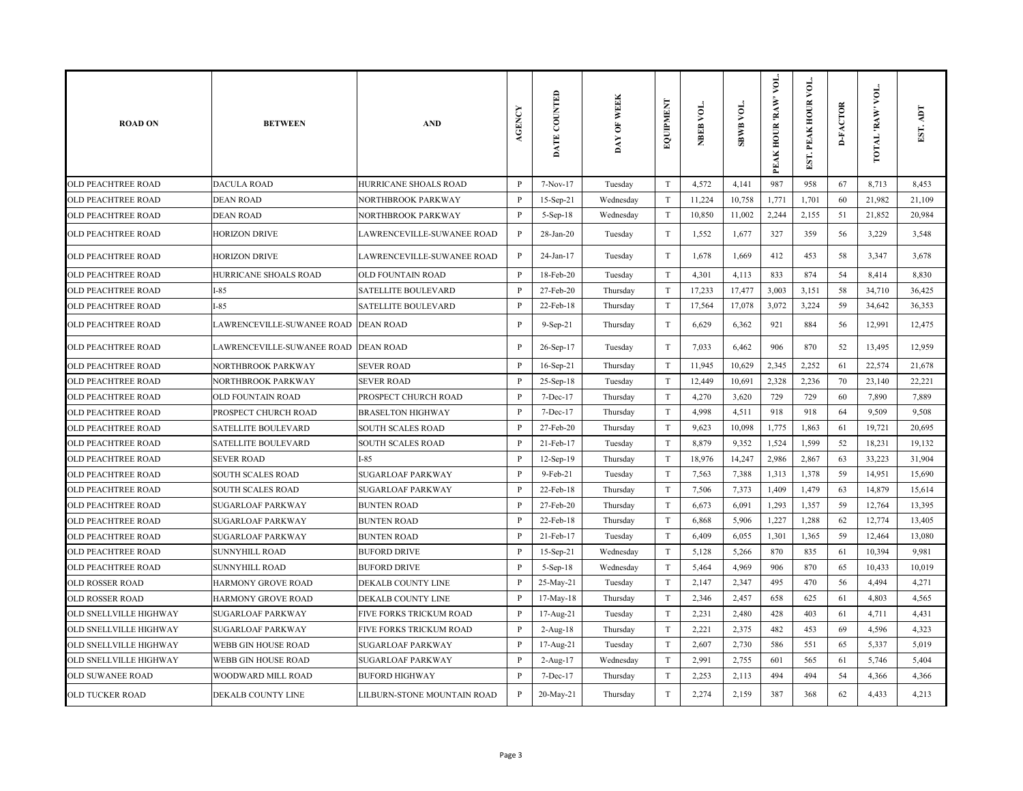| <b>ROAD ON</b>                | <b>BETWEEN</b>                       | <b>AND</b>                     | AGENCY       | DATE COUNTED | <b>WEEK</b><br>DAY OF | EQUIPMENT                 | NBEB VOL. | <b>SBWB VOL.</b> | VOL.<br>PEAK HOUR 'RAW' | ð<br>EST. PEAK HOUR | <b>D-FACTOR</b> | VOL.<br>TOTAL 'RAW' | EST. ADT |
|-------------------------------|--------------------------------------|--------------------------------|--------------|--------------|-----------------------|---------------------------|-----------|------------------|-------------------------|---------------------|-----------------|---------------------|----------|
| <b>OLD PEACHTREE ROAD</b>     | <b>DACULA ROAD</b>                   | HURRICANE SHOALS ROAD          | P            | 7-Nov-17     | Tuesday               | T                         | 4,572     | 4,141            | 987                     | 958                 | 67              | 8,713               | 8,453    |
| OLD PEACHTREE ROAD            | <b>DEAN ROAD</b>                     | NORTHBROOK PARKWAY             | $\mathbf{P}$ | 15-Sep-21    | Wednesday             | $\rm T$                   | 11,224    | 10,758           | 1,771                   | 1,701               | 60              | 21,982              | 21,109   |
| <b>OLD PEACHTREE ROAD</b>     | <b>DEAN ROAD</b>                     | <b>NORTHBROOK PARKWAY</b>      | P            | 5-Sep-18     | Wednesday             | $\ensuremath{\mathrm{T}}$ | 10,850    | 11,002           | 2,244                   | 2,155               | 51              | 21,852              | 20,984   |
| <b>OLD PEACHTREE ROAD</b>     | HORIZON DRIVE                        | LAWRENCEVILLE-SUWANEE ROAD     | $\mathbf{P}$ | 28-Jan-20    | Tuesday               | $\rm T$                   | 1,552     | 1,677            | 327                     | 359                 | 56              | 3,229               | 3,548    |
| <b>OLD PEACHTREE ROAD</b>     | <b>HORIZON DRIVE</b>                 | LAWRENCEVILLE-SUWANEE ROAD     | P            | 24-Jan-17    | Tuesday               | $\rm T$                   | 1,678     | 1,669            | 412                     | 453                 | 58              | 3,347               | 3,678    |
| <b>OLD PEACHTREE ROAD</b>     | HURRICANE SHOALS ROAD                | <b>OLD FOUNTAIN ROAD</b>       | $\mathbf{P}$ | 18-Feb-20    | Tuesday               | $\mathbf T$               | 4,301     | 4,113            | 833                     | 874                 | 54              | 8,414               | 8,830    |
| OLD PEACHTREE ROAD            | $I-85$                               | SATELLITE BOULEVARD            | P            | 27-Feb-20    | Thursday              | $\rm T$                   | 17,233    | 17,477           | 3,003                   | 3,151               | 58              | 34,710              | 36,425   |
| OLD PEACHTREE ROAD            | I-85                                 | <b>SATELLITE BOULEVARD</b>     | $\mathbf{P}$ | 22-Feb-18    | Thursday              | T                         | 17,564    | 17,078           | 3,072                   | 3,224               | 59              | 34,642              | 36,353   |
| OLD PEACHTREE ROAD            | LAWRENCEVILLE-SUWANEE ROAD DEAN ROAD |                                | P            | $9-Sep-21$   | Thursday              | $\mathbf T$               | 6,629     | 6,362            | 921                     | 884                 | 56              | 12,991              | 12,475   |
| <b>OLD PEACHTREE ROAD</b>     | LAWRENCEVILLE-SUWANEE ROAD DEAN ROAD |                                | P            | 26-Sep-17    | Tuesday               | $\mathbf T$               | 7,033     | 6,462            | 906                     | 870                 | 52              | 13,495              | 12,959   |
| OLD PEACHTREE ROAD            | NORTHBROOK PARKWAY                   | <b>SEVER ROAD</b>              | P            | 16-Sep-21    | Thursday              | $\ensuremath{\mathrm{T}}$ | 11,945    | 10,629           | 2,345                   | 2,252               | 61              | 22,574              | 21,678   |
| <b>OLD PEACHTREE ROAD</b>     | NORTHBROOK PARKWAY                   | <b>SEVER ROAD</b>              | P            | 25-Sep-18    | Tuesday               | $\mathbf T$               | 12,449    | 10,691           | 2,328                   | 2,236               | 70              | 23,140              | 22,221   |
| <b>OLD PEACHTREE ROAD</b>     | <b>OLD FOUNTAIN ROAD</b>             | PROSPECT CHURCH ROAD           | P            | $7 - Dec-17$ | Thursday              | $\mathbf T$               | 4,270     | 3,620            | 729                     | 729                 | 60              | 7,890               | 7,889    |
| OLD PEACHTREE ROAD            | PROSPECT CHURCH ROAD                 | <b>BRASELTON HIGHWAY</b>       | $\mathbf{P}$ | 7-Dec-17     | Thursday              | $\mathbf T$               | 4,998     | 4,511            | 918                     | 918                 | 64              | 9,509               | 9,508    |
| <b>OLD PEACHTREE ROAD</b>     | <b>SATELLITE BOULEVARD</b>           | <b>SOUTH SCALES ROAD</b>       | $\mathbf{P}$ | 27-Feb-20    | Thursday              | $\mathbf T$               | 9,623     | 10,098           | 1,775                   | 1,863               | 61              | 19,721              | 20,695   |
| OLD PEACHTREE ROAD            | SATELLITE BOULEVARD                  | <b>SOUTH SCALES ROAD</b>       | P            | 21-Feb-17    | Tuesday               | $\mathbf T$               | 8,879     | 9,352            | 1,524                   | 1,599               | 52              | 18,231              | 19,132   |
| <b>OLD PEACHTREE ROAD</b>     | <b>SEVER ROAD</b>                    | $I-85$                         | $\, {\bf P}$ | 12-Sep-19    | Thursday              | $\ensuremath{\mathrm{T}}$ | 18,976    | 14,247           | 2,986                   | 2,867               | 63              | 33,223              | 31,904   |
| OLD PEACHTREE ROAD            | SOUTH SCALES ROAD                    | <b>SUGARLOAF PARKWAY</b>       | P            | 9-Feb-21     | Tuesday               | $\mathbf T$               | 7,563     | 7,388            | 1,313                   | 1,378               | 59              | 14,951              | 15,690   |
| OLD PEACHTREE ROAD            | <b>SOUTH SCALES ROAD</b>             | <b>SUGARLOAF PARKWAY</b>       | $\mathbf{P}$ | 22-Feb-18    | Thursday              | $\mathbf T$               | 7,506     | 7,373            | 1,409                   | 1,479               | 63              | 14,879              | 15,614   |
| <b>OLD PEACHTREE ROAD</b>     | <b>SUGARLOAF PARKWAY</b>             | <b>BUNTEN ROAD</b>             | $\mathbf{P}$ | 27-Feb-20    | Thursday              | $\mathbf T$               | 6,673     | 6,091            | 1,293                   | 1,357               | 59              | 12,764              | 13,395   |
| <b>OLD PEACHTREE ROAD</b>     | <b>SUGARLOAF PARKWAY</b>             | <b>BUNTEN ROAD</b>             | P            | 22-Feb-18    | Thursday              | $\mathbf T$               | 6,868     | 5,906            | 1,227                   | 1,288               | 62              | 12,774              | 13,405   |
| <b>OLD PEACHTREE ROAD</b>     | <b>SUGARLOAF PARKWAY</b>             | <b>BUNTEN ROAD</b>             | $\mathbf{P}$ | 21-Feb-17    | Tuesday               | $\mathbf T$               | 6,409     | 6,055            | 1,301                   | 1,365               | 59              | 12,464              | 13,080   |
| <b>OLD PEACHTREE ROAD</b>     | <b>SUNNYHILL ROAD</b>                | <b>BUFORD DRIVE</b>            | P            | $15-Sep-21$  | Wednesday             | $\mathbf T$               | 5,128     | 5,266            | 870                     | 835                 | 61              | 10,394              | 9,981    |
| OLD PEACHTREE ROAD            | SUNNYHILL ROAD                       | <b>BUFORD DRIVE</b>            | P            | 5-Sep-18     | Wednesday             | $\ensuremath{\mathrm{T}}$ | 5,464     | 4,969            | 906                     | 870                 | 65              | 10,433              | 10,019   |
| <b>OLD ROSSER ROAD</b>        | HARMONY GROVE ROAD                   | DEKALB COUNTY LINE             | $\, {\bf P}$ | 25-May-21    | Tuesday               | $\mathbf T$               | 2,147     | 2,347            | 495                     | 470                 | 56              | 4,494               | 4,271    |
| OLD ROSSER ROAD               | HARMONY GROVE ROAD                   | DEKALB COUNTY LINE             | $\mathbf{P}$ | 17-May-18    | Thursday              | $\mathbf T$               | 2,346     | 2,457            | 658                     | 625                 | 61              | 4,803               | 4,565    |
| OLD SNELLVILLE HIGHWAY        | <b>SUGARLOAF PARKWAY</b>             | FIVE FORKS TRICKUM ROAD        | P            | 17-Aug-21    | Tuesday               | $\mathbf T$               | 2,231     | 2,480            | 428                     | 403                 | 61              | 4,711               | 4,431    |
| <b>OLD SNELLVILLE HIGHWAY</b> | <b>SUGARLOAF PARKWAY</b>             | <b>FIVE FORKS TRICKUM ROAD</b> | P            | $2$ -Aug-18  | Thursday              | $\mathbf T$               | 2,221     | 2,375            | 482                     | 453                 | 69              | 4,596               | 4,323    |
| OLD SNELLVILLE HIGHWAY        | WEBB GIN HOUSE ROAD                  | <b>SUGARLOAF PARKWAY</b>       | P            | 17-Aug-21    | Tuesday               | $\rm T$                   | 2,607     | 2,730            | 586                     | 551                 | 65              | 5,337               | 5,019    |
| <b>OLD SNELLVILLE HIGHWAY</b> | WEBB GIN HOUSE ROAD                  | <b>SUGARLOAF PARKWAY</b>       | P            | 2-Aug-17     | Wednesday             | T                         | 2,991     | 2,755            | 601                     | 565                 | 61              | 5,746               | 5,404    |
| OLD SUWANEE ROAD              | WOODWARD MILL ROAD                   | <b>BUFORD HIGHWAY</b>          | P            | 7-Dec-17     | Thursday              | T                         | 2,253     | 2,113            | 494                     | 494                 | 54              | 4,366               | 4,366    |
| <b>OLD TUCKER ROAD</b>        | DEKALB COUNTY LINE                   | LILBURN-STONE MOUNTAIN ROAD    | $\mathbf{P}$ | 20-May-21    | Thursday              | T                         | 2,274     | 2,159            | 387                     | 368                 | 62              | 4,433               | 4,213    |